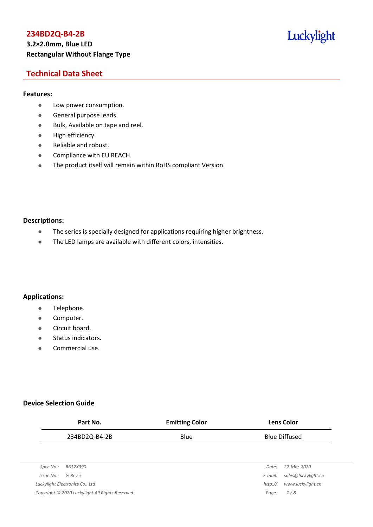## Luckylight

## **Technical Data Sheet**

#### **Features:**

- **•** Low power consumption.
- **General purpose leads.**
- Bulk, Available on tape and reel.
- High efficiency.
- Reliable and robust.
- **•** Compliance with EU REACH.
- The product itself will remain within RoHS compliant Version.

#### **Descriptions:**

- The series is specially designed for applications requiring higher brightness.
- The LED lamps are available with different colors, intensities.

#### **Applications:**

- **•** Telephone.
- **•** Computer.
- **•** Circuit board.
- Status indicators.
- Commercial use.

#### **Device Selection Guide**

| Part No.                                        | <b>Emitting Color</b><br><b>Lens Color</b> |         |                      |
|-------------------------------------------------|--------------------------------------------|---------|----------------------|
| 234BD2Q-B4-2B                                   | <b>Blue</b>                                |         | <b>Blue Diffused</b> |
|                                                 |                                            |         |                      |
| Spec No.:<br>B612X390                           |                                            | Date:   | 27-Mar-2020          |
| $Is sue No.: G-Rev-5$                           |                                            | E-mail: | sales@luckylight.cn  |
| Luckylight Electronics Co., Ltd                 |                                            | http:// | www.luckylight.cn    |
| Copyright © 2020 Luckylight All Rights Reserved |                                            | Page:   | 1/8                  |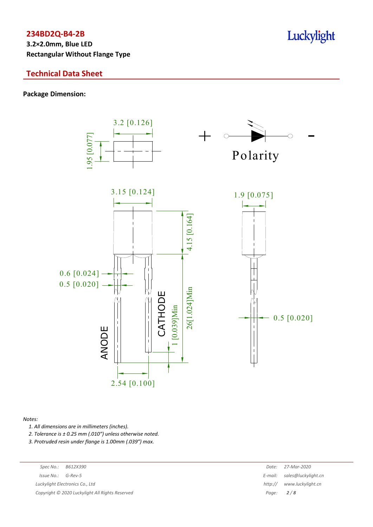**3.2×2.0mm, Blue LED Rectangular Without Flange Type**

### **Technical Data Sheet**

#### **Package Dimension:**



#### *Notes:*

*1. All dimensions are in millimeters (inches).*

*2. Tolerance is ± 0.25 mm (.010″) unless otherwise noted.*

*3. Protruded resin under flange is 1.00mm (.039″) max.*

*Luckylight Electronics Co., Ltd* 

*Copyright © 2020 Luckylight All Rights Reserved Page: 2 / 8*

| Spec No.:  | B612X390                                      | Date:       | 27-Mar-2020                 |
|------------|-----------------------------------------------|-------------|-----------------------------|
| 'ssue No.: | G-Rev-5                                       |             | E-mail: sales@luckylight.cn |
|            | ckylight Electronics Co., Ltd                 | http://     | www.luckylight.cn           |
|            | pyright © 2020 Luckylight All Rights Reserved | Page: $2/8$ |                             |

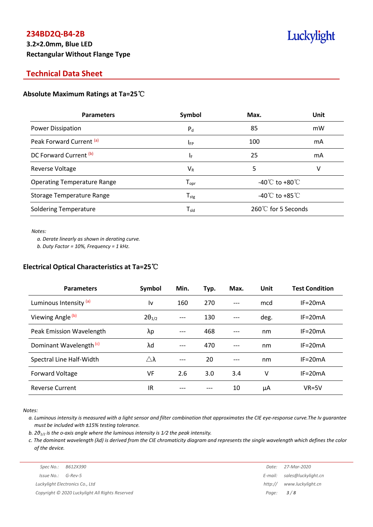## **3.2×2.0mm, Blue LED Rectangular Without Flange Type**

# Luckylight

## **Technical Data Sheet**

#### **Absolute Maximum Ratings at Ta=25**℃

| <b>Parameters</b>                  | Symbol                       | Max.                                 | Unit |
|------------------------------------|------------------------------|--------------------------------------|------|
| Power Dissipation                  | $P_{d}$                      | 85                                   | mW   |
| Peak Forward Current (a)           | <b>IFP</b>                   | 100                                  | mA   |
| DC Forward Current <sup>(b)</sup>  | IF.                          | 25                                   | mA   |
| Reverse Voltage                    | $V_{R}$                      | 5                                    | ٧    |
| <b>Operating Temperature Range</b> | $T_{\mathsf{opr}}$           | -40 $^{\circ}$ C to +80 $^{\circ}$ C |      |
| Storage Temperature Range          | ${\mathsf T}_{\textsf{stg}}$ | -40 $^{\circ}$ C to +85 $^{\circ}$ C |      |
| <b>Soldering Temperature</b>       | $T_{\sf sld}$                | $260^{\circ}$ for 5 Seconds          |      |

*Notes:*

*a. Derate linearly as shown in derating curve.*

*b. Duty Factor = 10%, Frequency = 1 kHz.*

### **Electrical Optical Characteristics at Ta=25**℃

| <b>Parameters</b>                  | Symbol          | Min.  | Typ. | Max.  | Unit | <b>Test Condition</b> |
|------------------------------------|-----------------|-------|------|-------|------|-----------------------|
| Luminous Intensity <sup>(a)</sup>  | ١v              | 160   | 270  | $---$ | mcd  | $IF = 20mA$           |
| Viewing Angle (b)                  | $2\theta_{1/2}$ | $---$ | 130  | $---$ | deg. | $IF = 20mA$           |
| Peak Emission Wavelength           | λp              |       | 468  |       | nm   | $IF = 20mA$           |
| Dominant Wavelength <sup>(c)</sup> | λd              | $---$ | 470  | ---   | nm   | $IF = 20mA$           |
| Spectral Line Half-Width           | Δλ              | $---$ | 20   |       | nm   | $IF = 20mA$           |
| Forward Voltage                    | VF              | 2.6   | 3.0  | 3.4   | ٧    | $IF = 20mA$           |
| <b>Reverse Current</b>             | IR              |       |      | 10    | μA   | $VR=5V$               |

*Notes:*

a. Luminous intensity is measured with a light sensor and filter combination that approximates the CIE eye-response curve. The Iv quarantee *must be included with ±15% testing tolerance.*

*b. 2θ1/2 is the o-axis angle where the luminous intensity is 1⁄2 the peak intensity.*

c. The dominant wavelength ( $\lambda$ d) is derived from the CIE chromaticity diagram and represents the single wavelength which defines the color *of the device.*

|                    |                                 |         | $\sim$ $\sim$        |
|--------------------|---------------------------------|---------|----------------------|
|                    | Luckylight Electronics Co., Ltd | http:// | www.luckylig         |
| Issue No.: G-Rev-5 |                                 |         | E-mail: sales@luckyl |
|                    | Spec No.: B612X390              |         | Date: 27-Mar-2020    |

*Issue No.: G-Rev-5 E-mail: sales@luckylight.cn Luckylight Electronics Co., Ltd http:// www.luckylight.cn Copyright © 2020 Luckylight All Rights Reserved Page: 3 / 8*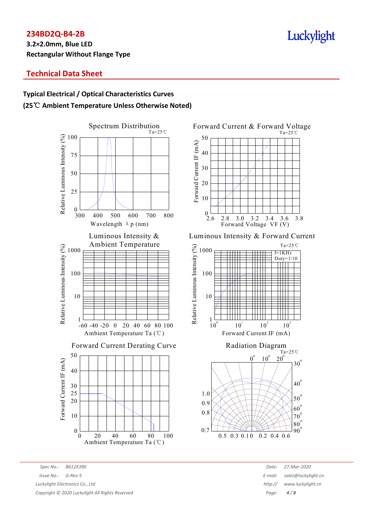**3.2×2.0mm, Blue LED Rectangular Without Flange Type**

## **Technical Data Sheet**

## **Typical Electrical / Optical Characteristics Curves (25**℃ **Ambient Temperature Unless Otherwise Noted)**



*Spec No.: B612X390 Date: 27-Mar-2020 Issue No.: G-Rev-5 E-mail: sales@luckylight.cn Luckylight Electronics Co., Ltd http:// www.luckylight.cn*

*Copyright © 2020 Luckylight All Rights Reserved Page: 4 / 8*



Luminous Intensity & Forward Current





# Luckylight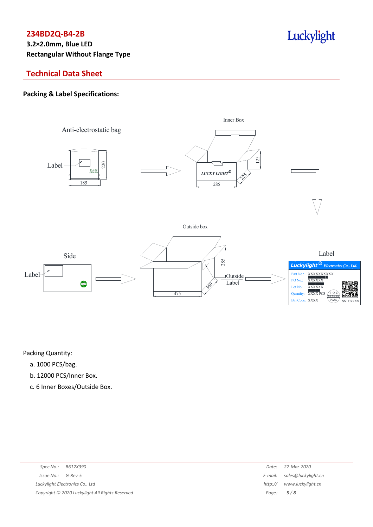**3.2×2.0mm, Blue LED Rectangular Without Flange Type**

## **Technical Data Sheet**

### **Packing & Label Specifications:**



Luckylight

Packing Quantity:

- a. 1000 PCS/bag.
- b. 12000 PCS/Inner Box.
- c. 6 Inner Boxes/Outside Box.

| Spec No.:<br>B612X390                           | Date:   | 27-Mar-2020                 |
|-------------------------------------------------|---------|-----------------------------|
| Issue No.:<br>G-Rev-5                           |         | E-mail: sales@luckylight.cn |
| Luckylight Electronics Co., Ltd                 | http:// | www.luckylight.cn           |
| Copyright © 2020 Luckylight All Rights Reserved |         | Page: $5/8$                 |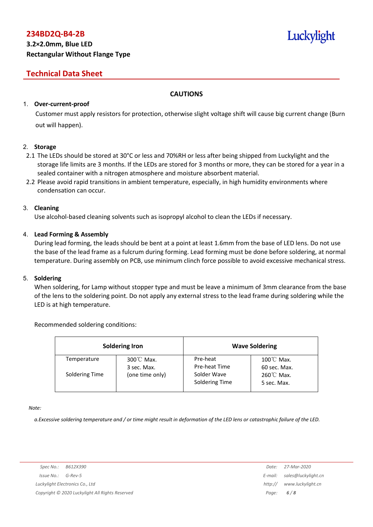## **Technical Data Sheet**

#### **CAUTIONS**

#### 1. **Over-current-proof**

Customer must apply resistors for protection, otherwise slight voltage shift will cause big current change (Burn out will happen).

#### 2. **Storage**

- 2.1 The LEDs should be stored at 30°C or less and 70%RH or less after being shipped from Luckylight and the storage life limits are 3 months. If the LEDs are stored for 3 months or more, they can be stored for a year in a sealed container with a nitrogen atmosphere and moisture absorbent material.
- 2.2 Please avoid rapid transitions in ambient temperature, especially, in high humidity environments where condensation can occur.

#### 3. **Cleaning**

Use alcohol-based cleaning solvents such as isopropyl alcohol to clean the LEDs if necessary.

#### 4. **Lead Forming & Assembly**

During lead forming, the leads should be bent at a point at least 1.6mm from the base of LED lens. Do not use the base of the lead frame as a fulcrum during forming. Lead forming must be done before soldering, at normal temperature. During assembly on PCB, use minimum clinch force possible to avoid excessive mechanical stress.

#### 5. **Soldering**

When soldering, for Lamp without stopper type and must be leave a minimum of 3mm clearance from the base of the lens to the soldering point. Do not apply any external stress to the lead frame during soldering while the LED is at high temperature.

#### Recommended soldering conditions:

| <b>Soldering Iron</b> |                                     | <b>Wave Soldering</b>         |                                      |  |
|-----------------------|-------------------------------------|-------------------------------|--------------------------------------|--|
| Temperature           | $300^{\circ}$ C Max.<br>3 sec. Max. | Pre-heat<br>Pre-heat Time     | $100^{\circ}$ C Max.<br>60 sec. Max. |  |
| Soldering Time        | (one time only)                     | Solder Wave<br>Soldering Time | $260^{\circ}$ C Max.<br>5 sec. Max.  |  |

*Note:*

a. Excessive soldering temperature and / or time might result in deformation of the LED lens or catastrophic failure of the LED.

Luckylight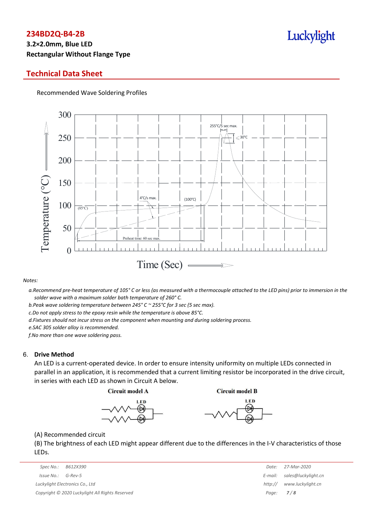## **3.2×2.0mm, Blue LED Rectangular Without Flange Type**

### **Technical Data Sheet**

Recommended Wave Soldering Profiles



#### *Notes:*

a. Recommend pre-heat temperature of 105° C or less (as measured with a thermocouple attached to the LED pins) prior to immersion in the *solder wave with a maximum solder bath temperature of 260° C.*

*b.Peak wave soldering temperature between 245° C ~ 255°C for 3 sec (5 sec max).*

*c.Do not apply stress to the epoxy resin while the temperature is above 85°C.*

*d.Fixtures should not incur stress on the component when mounting and during soldering process.*

*e.SAC 305 solder alloy is recommended.*

*f.No more than one wave soldering pass.*

#### 6. **Drive Method**

An LED is a current-operated device. In order to ensure intensity uniformity on multiple LEDs connected in parallel in an application, it is recommended that a current limiting resistor be incorporated in the drive circuit, in series with each LED as shown in Circuit A below.

**Circuit model A** 

**Circuit model B** 





(A) Recommended circuit

(B) The brightness of each LED might appear different due to the differences in the I-V characteristics of those LEDs.

| Spec No.: B612X390                              |  | Date:       | 27-Mar-2020                 |
|-------------------------------------------------|--|-------------|-----------------------------|
| $Issue No.: G-Rev-5$                            |  |             | E-mail: sales@luckylight.cn |
| Luckylight Electronics Co., Ltd                 |  | http://     | www.luckylight.cn           |
| Copyright © 2020 Luckylight All Rights Reserved |  | Page: $7/8$ |                             |

## Luckylight